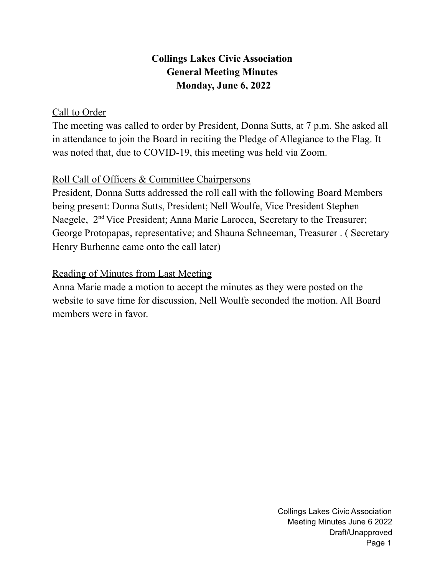# **Collings Lakes Civic Association General Meeting Minutes Monday, June 6, 2022**

## Call to Order

The meeting was called to order by President, Donna Sutts, at 7 p.m. She asked all in attendance to join the Board in reciting the Pledge of Allegiance to the Flag. It was noted that, due to COVID-19, this meeting was held via Zoom.

# Roll Call of Officers & Committee Chairpersons

President, Donna Sutts addressed the roll call with the following Board Members being present: Donna Sutts, President; Nell Woulfe, Vice President Stephen Naegele, 2<sup>nd</sup> Vice President; Anna Marie Larocca, Secretary to the Treasurer; George Protopapas, representative; and Shauna Schneeman, Treasurer . ( Secretary Henry Burhenne came onto the call later)

# Reading of Minutes from Last Meeting

Anna Marie made a motion to accept the minutes as they were posted on the website to save time for discussion, Nell Woulfe seconded the motion. All Board members were in favor.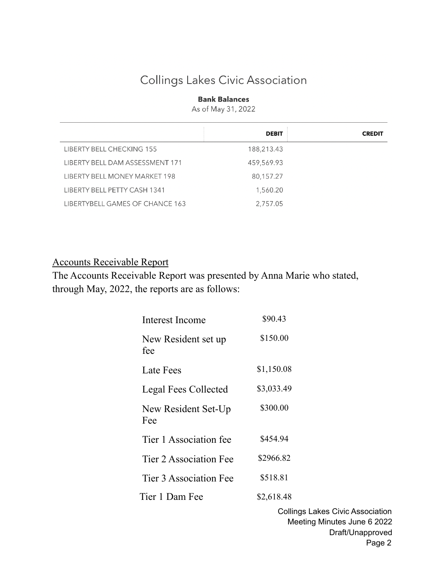# Collings Lakes Civic Association

#### **Bank Balances**

As of May 31, 2022

|                                 | <b>DEBIT</b> | <b>CREDIT</b> |
|---------------------------------|--------------|---------------|
| LIBERTY BELL CHECKING 155       | 188,213.43   |               |
| LIBERTY BELL DAM ASSESSMENT 171 | 459,569.93   |               |
| LIBERTY BELL MONEY MARKET 198   | 80,157.27    |               |
| LIBERTY BELL PETTY CASH 1341    | 1,560.20     |               |
| LIBERTYBELL GAMES OF CHANCE 163 | 2,757.05     |               |

#### Accounts Receivable Report

The Accounts Receivable Report was presented by Anna Marie who stated, through May, 2022, the reports are as follows:

| Interest Income            | \$90.43    |
|----------------------------|------------|
| New Resident set up<br>fee | \$150.00   |
| Late Fees                  | \$1,150.08 |
| Legal Fees Collected       | \$3,033.49 |
| New Resident Set-Up<br>Fee | \$300.00   |
| Tier 1 Association fee     | \$454.94   |
| Tier 2 Association Fee     | \$2966.82  |
| Tier 3 Association Fee     | \$518.81   |
| Tier 1 Dam Fee             | \$2,618.48 |
|                            | Collir     |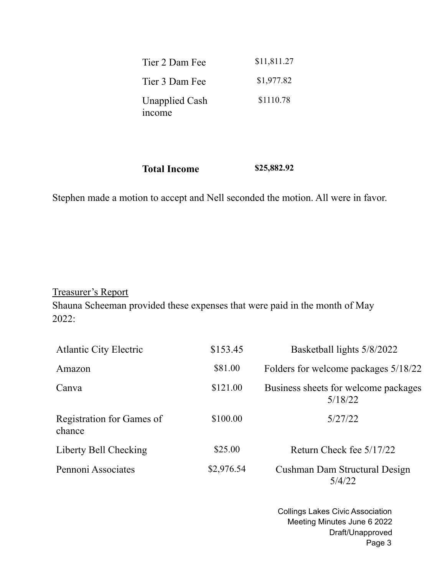| Tier 2 Dam Fee                         | \$11,811.27 |
|----------------------------------------|-------------|
| Tier 3 Dam Fee                         | \$1,977.82  |
| <b>Unapplied Cash</b><br><i>n</i> come | \$1110.78   |

**Total Income \$25,882.92**

Stephen made a motion to accept and Nell seconded the motion. All were in favor.

Treasurer's Report

Shauna Scheeman provided these expenses that were paid in the month of May 2022:

| <b>Atlantic City Electric</b>       | \$153.45   | Basketball lights 5/8/2022                      |
|-------------------------------------|------------|-------------------------------------------------|
| Amazon                              | \$81.00    | Folders for welcome packages 5/18/22            |
| Canva                               | \$121.00   | Business sheets for welcome packages<br>5/18/22 |
| Registration for Games of<br>chance | \$100.00   | 5/27/22                                         |
| Liberty Bell Checking               | \$25.00    | Return Check fee 5/17/22                        |
| Pennoni Associates                  | \$2,976.54 | Cushman Dam Structural Design<br>5/4/22         |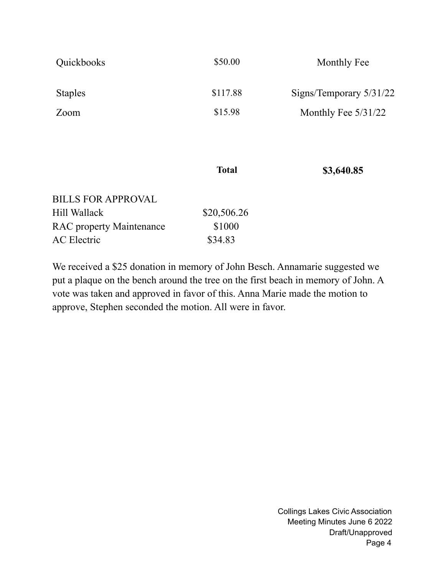| Quickbooks                      | \$50.00      | Monthly Fee               |
|---------------------------------|--------------|---------------------------|
| <b>Staples</b>                  | \$117.88     | Signs/Temporary $5/31/22$ |
| Zoom                            | \$15.98      | Monthly Fee 5/31/22       |
|                                 |              |                           |
|                                 | <b>Total</b> | \$3,640.85                |
| <b>BILLS FOR APPROVAL</b>       |              |                           |
| Hill Wallack                    | \$20,506.26  |                           |
| <b>RAC</b> property Maintenance | \$1000       |                           |
| <b>AC</b> Electric              | \$34.83      |                           |
|                                 |              |                           |

We received a \$25 donation in memory of John Besch. Annamarie suggested we put a plaque on the bench around the tree on the first beach in memory of John. A vote was taken and approved in favor of this. Anna Marie made the motion to approve, Stephen seconded the motion. All were in favor.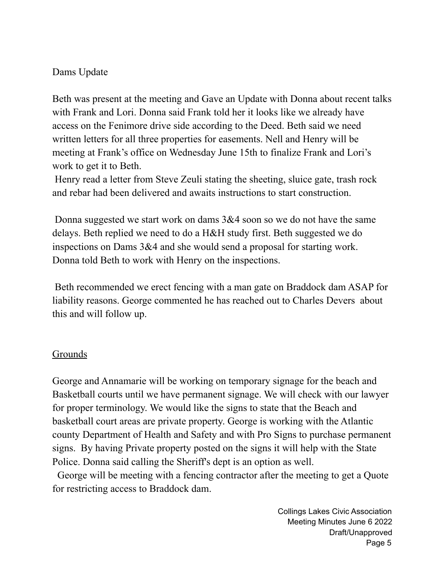#### Dams Update

Beth was present at the meeting and Gave an Update with Donna about recent talks with Frank and Lori. Donna said Frank told her it looks like we already have access on the Fenimore drive side according to the Deed. Beth said we need written letters for all three properties for easements. Nell and Henry will be meeting at Frank's office on Wednesday June 15th to finalize Frank and Lori's work to get it to Beth.

Henry read a letter from Steve Zeuli stating the sheeting, sluice gate, trash rock and rebar had been delivered and awaits instructions to start construction.

Donna suggested we start work on dams 3&4 soon so we do not have the same delays. Beth replied we need to do a H&H study first. Beth suggested we do inspections on Dams 3&4 and she would send a proposal for starting work. Donna told Beth to work with Henry on the inspections.

Beth recommended we erect fencing with a man gate on Braddock dam ASAP for liability reasons. George commented he has reached out to Charles Devers about this and will follow up.

## **Grounds**

George and Annamarie will be working on temporary signage for the beach and Basketball courts until we have permanent signage. We will check with our lawyer for proper terminology. We would like the signs to state that the Beach and basketball court areas are private property. George is working with the Atlantic county Department of Health and Safety and with Pro Signs to purchase permanent signs. By having Private property posted on the signs it will help with the State Police. Donna said calling the Sheriff's dept is an option as well.

George will be meeting with a fencing contractor after the meeting to get a Quote for restricting access to Braddock dam.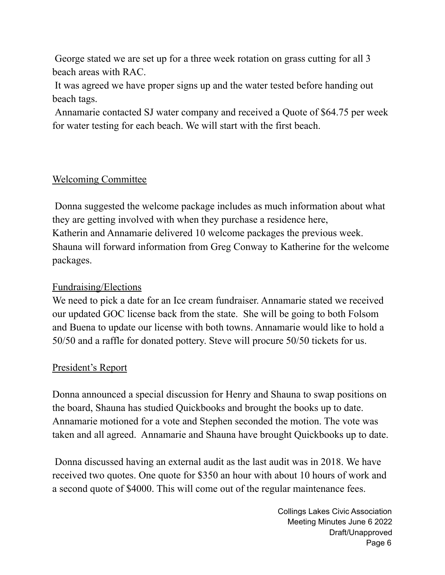George stated we are set up for a three week rotation on grass cutting for all 3 beach areas with RAC.

It was agreed we have proper signs up and the water tested before handing out beach tags.

Annamarie contacted SJ water company and received a Quote of \$64.75 per week for water testing for each beach. We will start with the first beach.

# Welcoming Committee

Donna suggested the welcome package includes as much information about what they are getting involved with when they purchase a residence here, Katherin and Annamarie delivered 10 welcome packages the previous week. Shauna will forward information from Greg Conway to Katherine for the welcome packages.

## Fundraising/Elections

We need to pick a date for an Ice cream fundraiser. Annamarie stated we received our updated GOC license back from the state. She will be going to both Folsom and Buena to update our license with both towns. Annamarie would like to hold a 50/50 and a raffle for donated pottery. Steve will procure 50/50 tickets for us.

## President's Report

Donna announced a special discussion for Henry and Shauna to swap positions on the board, Shauna has studied Quickbooks and brought the books up to date. Annamarie motioned for a vote and Stephen seconded the motion. The vote was taken and all agreed. Annamarie and Shauna have brought Quickbooks up to date.

Donna discussed having an external audit as the last audit was in 2018. We have received two quotes. One quote for \$350 an hour with about 10 hours of work and a second quote of \$4000. This will come out of the regular maintenance fees.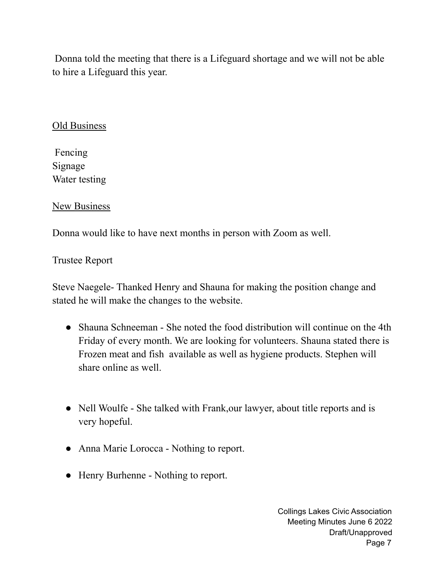Donna told the meeting that there is a Lifeguard shortage and we will not be able to hire a Lifeguard this year.

#### Old Business

Fencing Signage Water testing

#### New Business

Donna would like to have next months in person with Zoom as well.

#### Trustee Report

Steve Naegele- Thanked Henry and Shauna for making the position change and stated he will make the changes to the website.

- Shauna Schneeman She noted the food distribution will continue on the 4th Friday of every month. We are looking for volunteers. Shauna stated there is Frozen meat and fish available as well as hygiene products. Stephen will share online as well.
- Nell Woulfe She talked with Frank, our lawyer, about title reports and is very hopeful.
- Anna Marie Lorocca Nothing to report.
- Henry Burhenne Nothing to report.